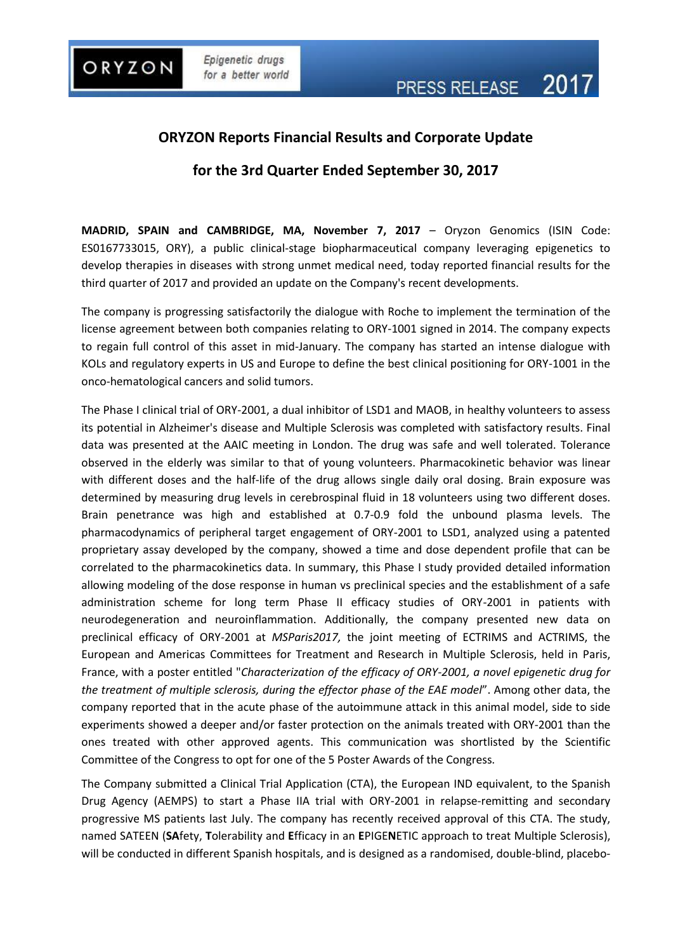

# **ORYZON Reports Financial Results and Corporate Update**

## **for the 3rd Quarter Ended September 30, 2017**

**MADRID, SPAIN and CAMBRIDGE, MA, November 7, 2017** – Oryzon Genomics (ISIN Code: ES0167733015, ORY), a public clinical-stage biopharmaceutical company leveraging epigenetics to develop therapies in diseases with strong unmet medical need, today reported financial results for the third quarter of 2017 and provided an update on the Company's recent developments.

The company is progressing satisfactorily the dialogue with Roche to implement the termination of the license agreement between both companies relating to ORY-1001 signed in 2014. The company expects to regain full control of this asset in mid-January. The company has started an intense dialogue with KOLs and regulatory experts in US and Europe to define the best clinical positioning for ORY-1001 in the onco-hematological cancers and solid tumors.

The Phase I clinical trial of ORY-2001, a dual inhibitor of LSD1 and MAOB, in healthy volunteers to assess its potential in Alzheimer's disease and Multiple Sclerosis was completed with satisfactory results. Final data was presented at the AAIC meeting in London. The drug was safe and well tolerated. Tolerance observed in the elderly was similar to that of young volunteers. Pharmacokinetic behavior was linear with different doses and the half-life of the drug allows single daily oral dosing. Brain exposure was determined by measuring drug levels in cerebrospinal fluid in 18 volunteers using two different doses. Brain penetrance was high and established at 0.7-0.9 fold the unbound plasma levels. The pharmacodynamics of peripheral target engagement of ORY-2001 to LSD1, analyzed using a patented proprietary assay developed by the company, showed a time and dose dependent profile that can be correlated to the pharmacokinetics data. In summary, this Phase I study provided detailed information allowing modeling of the dose response in human vs preclinical species and the establishment of a safe administration scheme for long term Phase II efficacy studies of ORY-2001 in patients with neurodegeneration and neuroinflammation. Additionally, the company presented new data on preclinical efficacy of ORY-2001 at *MSParis2017,* the joint meeting of ECTRIMS and ACTRIMS, the European and Americas Committees for Treatment and Research in Multiple Sclerosis, held in Paris, France, with a poster entitled "*Characterization of the efficacy of ORY-2001, a novel epigenetic drug for the treatment of multiple sclerosis, during the effector phase of the EAE model*". Among other data, the company reported that in the acute phase of the autoimmune attack in this animal model, side to side experiments showed a deeper and/or faster protection on the animals treated with ORY-2001 than the ones treated with other approved agents. This communication was shortlisted by the Scientific Committee of the Congress to opt for one of the 5 Poster Awards of the Congress.

The Company submitted a Clinical Trial Application (CTA), the European IND equivalent, to the Spanish Drug Agency (AEMPS) to start a Phase IIA trial with ORY-2001 in relapse-remitting and secondary progressive MS patients last July. The company has recently received approval of this CTA. The study, named SATEEN (**SA**fety, **T**olerability and **E**fficacy in an **E**PIGE**N**ETIC approach to treat Multiple Sclerosis), will be conducted in different Spanish hospitals, and is designed as a randomised, double-blind, placebo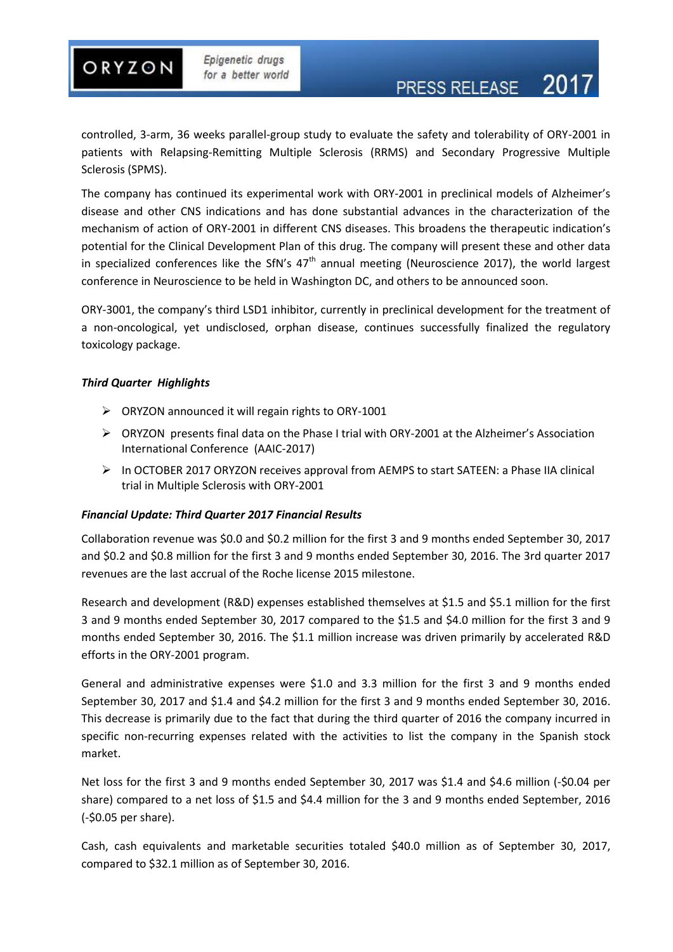controlled, 3-arm, 36 weeks parallel-group study to evaluate the safety and tolerability of ORY-2001 in patients with Relapsing-Remitting Multiple Sclerosis (RRMS) and Secondary Progressive Multiple Sclerosis (SPMS).

The company has continued its experimental work with ORY-2001 in preclinical models of Alzheimer's disease and other CNS indications and has done substantial advances in the characterization of the mechanism of action of ORY-2001 in different CNS diseases. This broadens the therapeutic indication's potential for the Clinical Development Plan of this drug. The company will present these and other data in specialized conferences like the SfN's  $47<sup>th</sup>$  annual meeting (Neuroscience 2017), the world largest conference in Neuroscience to be held in Washington DC, and others to be announced soon.

ORY-3001, the company's third LSD1 inhibitor, currently in preclinical development for the treatment of a non-oncological, yet undisclosed, orphan disease, continues successfully finalized the regulatory toxicology package.

#### *Third Quarter Highlights*

- $\triangleright$  ORYZON announced it will regain rights to ORY-1001
- ORYZON presents final data on the Phase I trial with ORY-2001 at the Alzheimer's Association International Conference (AAIC-2017)
- In OCTOBER 2017 ORYZON receives approval from AEMPS to start SATEEN: a Phase IIA clinical trial in Multiple Sclerosis with ORY-2001

#### *Financial Update: Third Quarter 2017 Financial Results*

Collaboration revenue was \$0.0 and \$0.2 million for the first 3 and 9 months ended September 30, 2017 and \$0.2 and \$0.8 million for the first 3 and 9 months ended September 30, 2016. The 3rd quarter 2017 revenues are the last accrual of the Roche license 2015 milestone.

Research and development (R&D) expenses established themselves at \$1.5 and \$5.1 million for the first 3 and 9 months ended September 30, 2017 compared to the \$1.5 and \$4.0 million for the first 3 and 9 months ended September 30, 2016. The \$1.1 million increase was driven primarily by accelerated R&D efforts in the ORY-2001 program.

General and administrative expenses were \$1.0 and 3.3 million for the first 3 and 9 months ended September 30, 2017 and \$1.4 and \$4.2 million for the first 3 and 9 months ended September 30, 2016. This decrease is primarily due to the fact that during the third quarter of 2016 the company incurred in specific non-recurring expenses related with the activities to list the company in the Spanish stock market.

Net loss for the first 3 and 9 months ended September 30, 2017 was \$1.4 and \$4.6 million (-\$0.04 per share) compared to a net loss of \$1.5 and \$4.4 million for the 3 and 9 months ended September, 2016 (-\$0.05 per share).

Cash, cash equivalents and marketable securities totaled \$40.0 million as of September 30, 2017, compared to \$32.1 million as of September 30, 2016.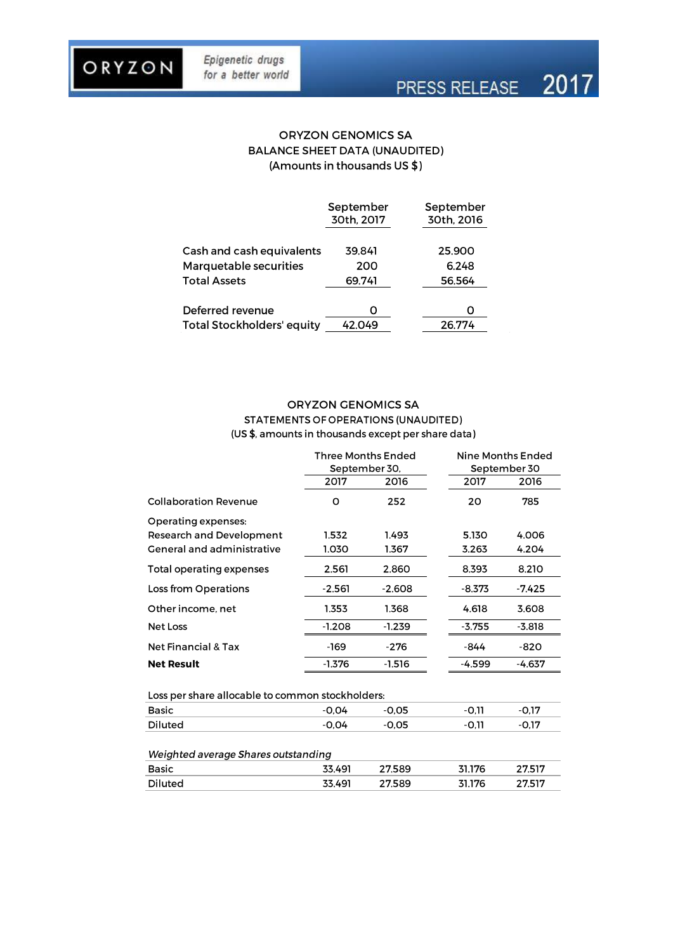ORYZON

# PRESS RELEASE 2017

## **ORYZON GENOMICS SA BALANCE SHEET DATA (UNAUDITED)** (Amounts in thousands US \$)

|                                   | September<br>30th, 2017 | September<br>30th, 2016 |
|-----------------------------------|-------------------------|-------------------------|
| Cash and cash equivalents         | 39.841                  | 25,900                  |
| Marquetable securities            | 200                     | 6.248                   |
| <b>Total Assets</b>               | 69.741                  | 56.564                  |
| Deferred revenue                  |                         |                         |
| <b>Total Stockholders' equity</b> | 42.049                  | 26.774                  |

#### **ORYZON GENOMICS SA STATEMENTS OF OPERATIONS (UNAUDITED)** (US \$, amounts in thousands except per share data)

|                                                  | Three Months Ended |          | Nine Months Ended |          |  |  |
|--------------------------------------------------|--------------------|----------|-------------------|----------|--|--|
|                                                  | September 30,      |          | September 30      |          |  |  |
|                                                  | 2017               | 2016     | 2017              | 2016     |  |  |
| <b>Collaboration Revenue</b>                     | o                  | 252      | 20                | 785      |  |  |
| Operating expenses:                              |                    |          |                   |          |  |  |
| <b>Research and Development</b>                  | 1.532              | 1.493    | 5.130             | 4.006    |  |  |
| <b>General and administrative</b>                | 1.030              | 1.367    | 3.263             | 4.204    |  |  |
| <b>Total operating expenses</b>                  | 2.561              | 2.860    | 8.393             | 8.210    |  |  |
| Loss from Operations                             | $-2.561$           | $-2.608$ | $-8.373$          | $-7.425$ |  |  |
| Other income, net                                | 1.353              | 1.368    | 4.618             | 3.608    |  |  |
| Net Loss                                         | $-1.208$           | $-1.239$ | $-3.755$          | $-3.818$ |  |  |
| <b>Net Financial &amp; Tax</b>                   | -169               | $-276$   | -844              | $-820$   |  |  |
| <b>Net Result</b>                                | $-1.376$           | $-1.516$ | -4.599            | $-4.637$ |  |  |
| Loss per share allocable to common stockholders: |                    |          |                   |          |  |  |
| Basic                                            | $-0.04$            | $-0.05$  | $-0,11$           | $-0.17$  |  |  |
| <b>Diluted</b>                                   | $-0.04$            | $-0.05$  | $-0.11$           | -0.17    |  |  |
| Weighted average Shares outstanding              |                    |          |                   |          |  |  |
| <b>Basic</b>                                     | 33.491             | 27.589   | 31.176            | 27.517   |  |  |
| Diluted                                          | 33.491             | 27.589   | 31.176            | 27.517   |  |  |